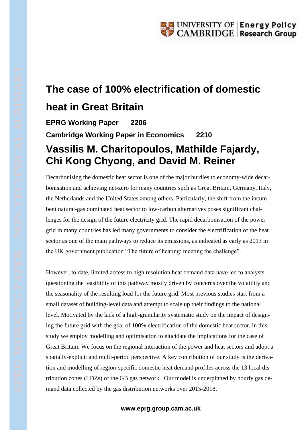## **The case of 100% electrification of domestic heat in Great Britain**

**EPRG Working Paper 2206 Cambridge Working Paper in Economics 2210 Vassilis M. Charitopoulos, Mathilde Fajardy, Chi Kong Chyong, and David M. Reiner**

Decarbonising the domestic heat sector is one of the major hurdles to economy-wide decarbonisation and achieving net-zero for many countries such as Great Britain, Germany, Italy, the Netherlands and the United States among others. Particularly, the shift from the incumbent natural-gas dominated heat sector to low-carbon alternatives poses significant challenges for the design of the future electricity grid. The rapid decarbonisation of the power grid in many countries has led many governments to consider the electrification of the heat sector as one of the main pathways to reduce its emissions, as indicated as early as 2013 in the UK government publication "The future of heating: meeting the challenge".

However, to date, limited access to high resolution heat demand data have led to analysts questioning the feasibility of this pathway mostly driven by concerns over the volatility and the seasonality of the resulting load for the future grid. Most previous studies start from a small dataset of building-level data and attempt to scale up their findings to the national level. Motivated by the lack of a high-granularity systematic study on the impact of designing the future grid with the goal of 100% electrification of the domestic heat sector, in this study we employ modelling and optimisation to elucidate the implications for the case of Great Britain. We focus on the regional interaction of the power and heat sectors and adopt a spatially-explicit and multi-period perspective. A key contribution of our study is the derivation and modelling of region-specific domestic heat demand profiles across the 13 local distribution zones (LDZs) of the GB gas network. Our model is underpinned by hourly gas demand data collected by the gas distribution networks over 2015-2018.